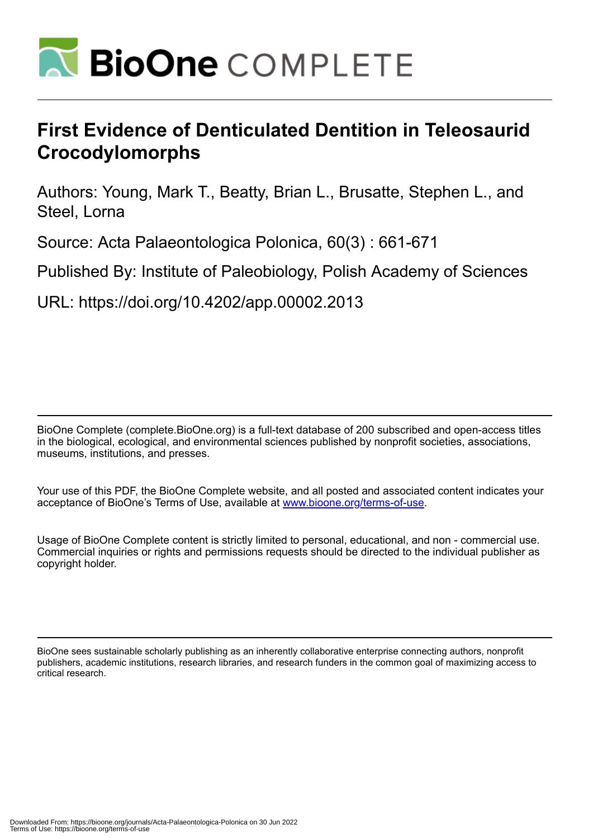

# **First Evidence of Denticulated Dentition in Teleosaurid Crocodylomorphs**

Authors: Young, Mark T., Beatty, Brian L., Brusatte, Stephen L., and Steel, Lorna

Source: Acta Palaeontologica Polonica, 60(3) : 661-671

Published By: Institute of Paleobiology, Polish Academy of Sciences

URL: https://doi.org/10.4202/app.00002.2013

BioOne Complete (complete.BioOne.org) is a full-text database of 200 subscribed and open-access titles in the biological, ecological, and environmental sciences published by nonprofit societies, associations, museums, institutions, and presses.

Your use of this PDF, the BioOne Complete website, and all posted and associated content indicates your acceptance of BioOne's Terms of Use, available at www.bioone.org/terms-of-use.

Usage of BioOne Complete content is strictly limited to personal, educational, and non - commercial use. Commercial inquiries or rights and permissions requests should be directed to the individual publisher as copyright holder.

BioOne sees sustainable scholarly publishing as an inherently collaborative enterprise connecting authors, nonprofit publishers, academic institutions, research libraries, and research funders in the common goal of maximizing access to critical research.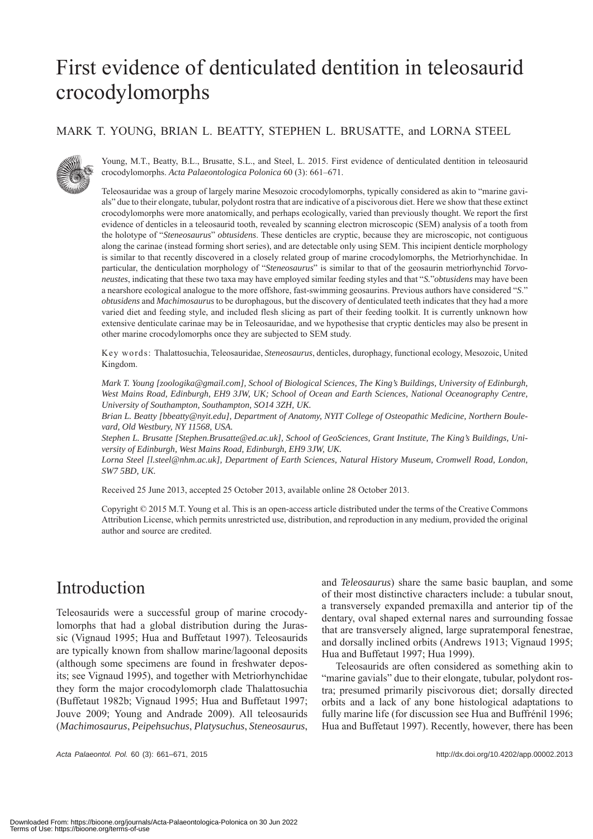# First evidence of denticulated dentition in teleosaurid crocodylomorphs

#### MARK T. YOUNG, BRIAN L. BEATTY, STEPHEN L. BRUSATTE, and LORNA STEEL



Young, M.T., Beatty, B.L., Brusatte, S.L., and Steel, L. 2015. First evidence of denticulated dentition in teleosaurid crocodylomorphs. *Acta Palaeontologica Polonica* 60 (3): 661–671.

Teleosauridae was a group of largely marine Mesozoic crocodylomorphs, typically considered as akin to "marine gavials" due to their elongate, tubular, polydont rostra that are indicative of a piscivorous diet. Here we show that these extinct crocodylomorphs were more anatomically, and perhaps ecologically, varied than previously thought. We report the first evidence of denticles in a teleosaurid tooth, revealed by scanning electron microscopic (SEM) analysis of a tooth from the holotype of "*Steneosaurus*" *obtusidens*. These denticles are cryptic, because they are microscopic, not contiguous along the carinae (instead forming short series), and are detectable only using SEM. This incipient denticle morphology is similar to that recently discovered in a closely related group of marine crocodylomorphs, the Metriorhynchidae. In particular, the denticulation morphology of "*Steneosaurus*" is similar to that of the geosaurin metriorhynchid *Torvoneustes*, indicating that these two taxa may have employed similar feeding styles and that "*S.*"*obtusidens* may have been a nearshore ecological analogue to the more offshore, fast-swimming geosaurins. Previous authors have considered "*S*." *obtusidens* and *Machimosaurus* to be durophagous, but the discovery of denticulated teeth indicates that they had a more varied diet and feeding style, and included flesh slicing as part of their feeding toolkit. It is currently unknown how extensive denticulate carinae may be in Teleosauridae, and we hypothesise that cryptic denticles may also be present in other marine crocodylomorphs once they are subjected to SEM study.

Key words: Thalattosuchia, Teleosauridae, *Steneosaurus*, denticles, durophagy, functional ecology, Mesozoic, United Kingdom.

*Mark T. Young [zoologika@gmail.com], School of Biological Sciences, The King's Buildings, University of Edinburgh, West Mains Road, Edinburgh, EH9 3JW, UK; School of Ocean and Earth Sciences, National Oceanography Centre, University of Southampton, Southampton, SO14 3ZH, UK.*

*Brian L. Beatty [bbeatty@nyit.edu], Department of Anatomy, NYIT College of Osteopathic Medicine, Northern Boulevard, Old Westbury, NY 11568, USA.*

*Stephen L. Brusatte [Stephen.Brusatte@ed.ac.uk], School of GeoSciences, Grant Institute, The King's Buildings, University of Edinburgh, West Mains Road, Edinburgh, EH9 3JW, UK.*

*Lorna Steel [l.steel@nhm.ac.uk], Department of Earth Sciences, Natural History Museum, Cromwell Road, London, SW7 5BD, UK.*

Received 25 June 2013, accepted 25 October 2013, available online 28 October 2013.

Copyright © 2015 M.T. Young et al. This is an open-access article distributed under the terms of the Creative Commons Attribution License, which permits unrestricted use, distribution, and reproduction in any medium, provided the original author and source are credited.

# Introduction

Teleosaurids were a successful group of marine crocodylomorphs that had a global distribution during the Jurassic (Vignaud 1995; Hua and Buffetaut 1997). Teleosaurids are typically known from shallow marine/lagoonal deposits (although some specimens are found in freshwater deposits; see Vignaud 1995), and together with Metriorhynchidae they form the major crocodylomorph clade Thalattosuchia (Buffetaut 1982b; Vignaud 1995; Hua and Buffetaut 1997; Jouve 2009; Young and Andrade 2009). All teleosaurids (*Machimosaurus*, *Peipehsuchus*, *Platysuchus*, *Steneosaurus*,

*Acta Palaeontol. Pol.* 60 (3): 661–671, 2015 http://dx.doi.org/10.4202/app.00002.2013

and *Teleosaurus*) share the same basic bauplan, and some of their most distinctive characters include: a tubular snout, a transversely expanded premaxilla and anterior tip of the dentary, oval shaped external nares and surrounding fossae that are transversely aligned, large supratemporal fenestrae, and dorsally inclined orbits (Andrews 1913; Vignaud 1995; Hua and Buffetaut 1997; Hua 1999).

Teleosaurids are often considered as something akin to "marine gavials" due to their elongate, tubular, polydont rostra; presumed primarily piscivorous diet; dorsally directed orbits and a lack of any bone histological adaptations to fully marine life (for discussion see Hua and Buffrénil 1996; Hua and Buffetaut 1997). Recently, however, there has been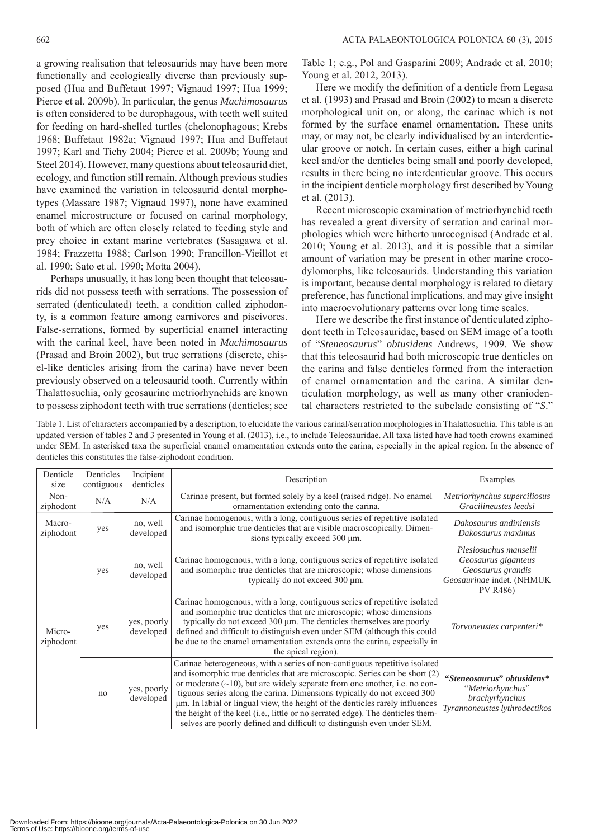a growing realisation that teleosaurids may have been more functionally and ecologically diverse than previously supposed (Hua and Buffetaut 1997; Vignaud 1997; Hua 1999; Pierce et al. 2009b). In particular, the genus *Machimosaurus* is often considered to be durophagous, with teeth well suited for feeding on hard-shelled turtles (chelonophagous; Krebs 1968; Buffetaut 1982a; Vignaud 1997; Hua and Buffetaut 1997; Karl and Tichy 2004; Pierce et al. 2009b; Young and Steel 2014). However, many questions about teleosaurid diet, ecology, and function still remain. Although previous studies have examined the variation in teleosaurid dental morphotypes (Massare 1987; Vignaud 1997), none have examined enamel microstructure or focused on carinal morphology, both of which are often closely related to feeding style and prey choice in extant marine vertebrates (Sasagawa et al. 1984; Frazzetta 1988; Carlson 1990; Francillon-Vieillot et al. 1990; Sato et al. 1990; Motta 2004).

Perhaps unusually, it has long been thought that teleosaurids did not possess teeth with serrations. The possession of serrated (denticulated) teeth, a condition called ziphodonty, is a common feature among carnivores and piscivores. False-serrations, formed by superficial enamel interacting with the carinal keel, have been noted in *Machimosaurus* (Prasad and Broin 2002), but true serrations (discrete, chisel-like denticles arising from the carina) have never been previously observed on a teleosaurid tooth. Currently within Thalattosuchia, only geosaurine metriorhynchids are known to possess ziphodont teeth with true serrations (denticles; see

Table 1; e.g., Pol and Gasparini 2009; Andrade et al. 2010; Young et al. 2012, 2013).

Here we modify the definition of a denticle from Legasa et al. (1993) and Prasad and Broin (2002) to mean a discrete morphological unit on, or along, the carinae which is not formed by the surface enamel ornamentation. These units may, or may not, be clearly individualised by an interdenticular groove or notch. In certain cases, either a high carinal keel and/or the denticles being small and poorly developed, results in there being no interdenticular groove. This occurs in the incipient denticle morphology first described by Young et al. (2013).

Recent microscopic examination of metriorhynchid teeth has revealed a great diversity of serration and carinal morphologies which were hitherto unrecognised (Andrade et al. 2010; Young et al. 2013), and it is possible that a similar amount of variation may be present in other marine crocodylomorphs, like teleosaurids. Understanding this variation is important, because dental morphology is related to dietary preference, has functional implications, and may give insight into macroevolutionary patterns over long time scales.

Here we describe the first instance of denticulated ziphodont teeth in Teleosauridae, based on SEM image of a tooth of "*Steneosaurus*" *obtusidens* Andrews, 1909. We show that this teleosaurid had both microscopic true denticles on the carina and false denticles formed from the interaction of enamel ornamentation and the carina. A similar denticulation morphology, as well as many other craniodental characters restricted to the subclade consisting of "*S*."

Table 1. List of characters accompanied by a description, to elucidate the various carinal/serration morphologies in Thalattosuchia. This table is an updated version of tables 2 and 3 presented in Young et al. (2013), i.e., to include Teleosauridae. All taxa listed have had tooth crowns examined under SEM. In asterisked taxa the superficial enamel ornamentation extends onto the carina, especially in the apical region. In the absence of denticles this constitutes the false-ziphodont condition.

| Denticle<br>size    | Denticles<br>contiguous        | Incipient<br>denticles   | Description                                                                                                                                                                                                                                                                                                                                                                                                                                                                                                                                                          | Examples                                                                                                          |  |  |
|---------------------|--------------------------------|--------------------------|----------------------------------------------------------------------------------------------------------------------------------------------------------------------------------------------------------------------------------------------------------------------------------------------------------------------------------------------------------------------------------------------------------------------------------------------------------------------------------------------------------------------------------------------------------------------|-------------------------------------------------------------------------------------------------------------------|--|--|
| Non-<br>ziphodont   | N/A                            | N/A                      | Carinae present, but formed solely by a keel (raised ridge). No enamel<br>ornamentation extending onto the carina.                                                                                                                                                                                                                                                                                                                                                                                                                                                   | Metriorhynchus superciliosus<br>Gracilineustes leedsi                                                             |  |  |
| Macro-<br>ziphodont | yes                            | no, well<br>developed    | Carinae homogenous, with a long, contiguous series of repetitive isolated<br>and isomorphic true denticles that are visible macroscopically. Dimen-<br>sions typically exceed 300 µm.                                                                                                                                                                                                                                                                                                                                                                                | Dakosaurus andiniensis<br>Dakosaurus maximus                                                                      |  |  |
| Micro-<br>ziphodont | yes                            | no, well<br>developed    | Carinae homogenous, with a long, contiguous series of repetitive isolated<br>and isomorphic true denticles that are microscopic; whose dimensions<br>typically do not exceed 300 µm.                                                                                                                                                                                                                                                                                                                                                                                 | Plesiosuchus manselii<br>Geosaurus giganteus<br>Geosaurus grandis<br>Geosaurinae indet. (NHMUK<br><b>PV R486)</b> |  |  |
|                     | yes                            | yes, poorly<br>developed | Carinae homogenous, with a long, contiguous series of repetitive isolated<br>and isomorphic true denticles that are microscopic; whose dimensions<br>typically do not exceed 300 µm. The denticles themselves are poorly<br>defined and difficult to distinguish even under SEM (although this could<br>be due to the enamel ornamentation extends onto the carina, especially in<br>the apical region).                                                                                                                                                             | Torvoneustes carpenteri*                                                                                          |  |  |
|                     | yes, poorly<br>no<br>developed |                          | Carinae heterogeneous, with a series of non-contiguous repetitive isolated<br>and isomorphic true denticles that are microscopic. Series can be short (2)<br>or moderate $(\sim 10)$ , but are widely separate from one another, i.e. no con-<br>tiguous series along the carina. Dimensions typically do not exceed 300<br>um. In labial or lingual view, the height of the denticles rarely influences<br>the height of the keel (i.e., little or no serrated edge). The denticles them-<br>selves are poorly defined and difficult to distinguish even under SEM. | "Steneosaurus" obtusidens*<br>"Metriorhynchus"<br>brachyrhynchus<br>Tyrannoneustes lythrodectikos                 |  |  |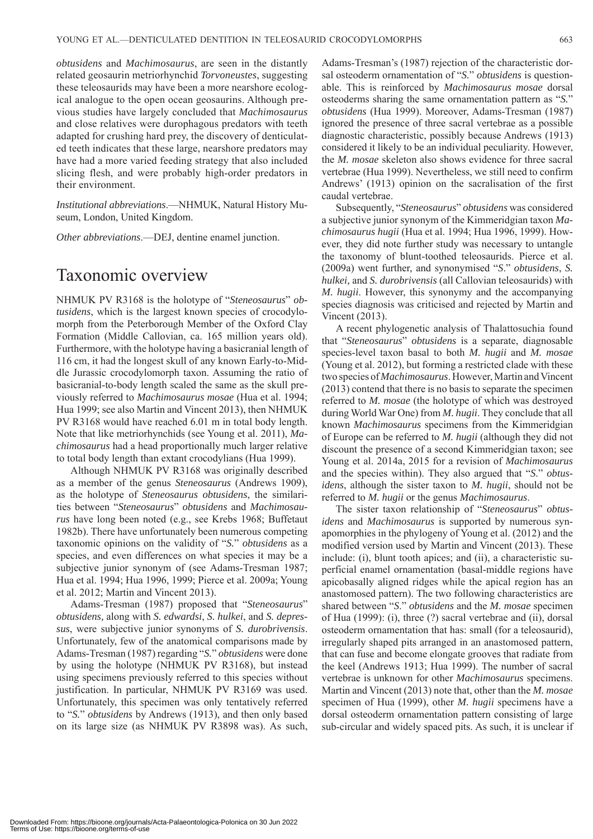*obtusidens* and *Machimosaurus*, are seen in the distantly related geosaurin metriorhynchid *Torvoneustes*, suggesting these teleosaurids may have been a more nearshore ecological analogue to the open ocean geosaurins. Although previous studies have largely concluded that *Machimosaurus* and close relatives were durophagous predators with teeth adapted for crushing hard prey, the discovery of denticulated teeth indicates that these large, nearshore predators may have had a more varied feeding strategy that also included slicing flesh, and were probably high-order predators in their environment.

*Institutional abbreviations*.—NHMUK, Natural History Museum, London, United Kingdom.

*Other abbreviations*.—DEJ, dentine enamel junction.

#### Taxonomic overview

NHMUK PV R3168 is the holotype of "*Steneosaurus*" *obtusidens*, which is the largest known species of crocodylomorph from the Peterborough Member of the Oxford Clay Formation (Middle Callovian, ca. 165 million years old). Furthermore, with the holotype having a basicranial length of 116 cm, it had the longest skull of any known Early-to-Middle Jurassic crocodylomorph taxon. Assuming the ratio of basicranial-to-body length scaled the same as the skull previously referred to *Machimosaurus mosae* (Hua et al. 1994; Hua 1999; see also Martin and Vincent 2013), then NHMUK PV R3168 would have reached 6.01 m in total body length. Note that like metriorhynchids (see Young et al. 2011), *Machimosaurus* had a head proportionally much larger relative to total body length than extant crocodylians (Hua 1999).

Although NHMUK PV R3168 was originally described as a member of the genus *Steneosaurus* (Andrews 1909), as the holotype of *Steneosaurus obtusidens*, the similarities between "*Steneosaurus*" *obtusidens* and *Machimosaurus* have long been noted (e.g., see Krebs 1968; Buffetaut 1982b). There have unfortunately been numerous competing taxonomic opinions on the validity of "*S.*" *obtusidens* as a species, and even differences on what species it may be a subjective junior synonym of (see Adams-Tresman 1987; Hua et al. 1994; Hua 1996, 1999; Pierce et al. 2009a; Young et al. 2012; Martin and Vincent 2013).

Adams-Tresman (1987) proposed that "*Steneosaurus*" *obtusidens,* along with *S. edwardsi*, *S. hulkei*, and *S. depressus*, were subjective junior synonyms of *S. durobrivensis*. Unfortunately, few of the anatomical comparisons made by Adams-Tresman (1987) regarding "*S.*" *obtusidens* were done by using the holotype (NHMUK PV R3168), but instead using specimens previously referred to this species without justification. In particular, NHMUK PV R3169 was used. Unfortunately, this specimen was only tentatively referred to "*S.*" *obtusidens* by Andrews (1913), and then only based on its large size (as NHMUK PV R3898 was). As such, Adams-Tresman's (1987) rejection of the characteristic dorsal osteoderm ornamentation of "*S.*" *obtusidens* is questionable. This is reinforced by *Machimosaurus mosae* dorsal osteoderms sharing the same ornamentation pattern as "*S.*" *obtusidens* (Hua 1999). Moreover, Adams-Tresman (1987) ignored the presence of three sacral vertebrae as a possible diagnostic characteristic, possibly because Andrews (1913) considered it likely to be an individual peculiarity. However, the *M. mosae* skeleton also shows evidence for three sacral vertebrae (Hua 1999). Nevertheless, we still need to confirm Andrews' (1913) opinion on the sacralisation of the first caudal vertebrae.

Subsequently, "*Steneosaurus*" *obtusidens* was considered a subjective junior synonym of the Kimmeridgian taxon *Machimosaurus hugii* (Hua et al. 1994; Hua 1996, 1999). However, they did note further study was necessary to untangle the taxonomy of blunt-toothed teleosaurids. Pierce et al. (2009a) went further, and synonymised "*S*." *obtusidens*, *S. hulkei,* and *S. durobrivensis* (all Callovian teleosaurids) with *M. hugii*. However, this synonymy and the accompanying species diagnosis was criticised and rejected by Martin and Vincent (2013).

A recent phylogenetic analysis of Thalattosuchia found that "*Steneosaurus*" *obtusidens* is a separate, diagnosable species-level taxon basal to both *M. hugii* and *M. mosae*  (Young et al. 2012), but forming a restricted clade with these two species of *Machimosaurus*. However, Martin and Vincent (2013) contend that there is no basis to separate the specimen referred to *M. mosae* (the holotype of which was destroyed during World War One) from *M. hugii*. They conclude that all known *Machimosaurus* specimens from the Kimmeridgian of Europe can be referred to *M. hugii* (although they did not discount the presence of a second Kimmeridgian taxon; see Young et al. 2014a, 2015 for a revision of *Machimosaurus* and the species within). They also argued that "*S*." *obtusidens*, although the sister taxon to *M. hugii*, should not be referred to *M. hugii* or the genus *Machimosaurus*.

The sister taxon relationship of "*Steneosaurus*" *obtusidens* and *Machimosaurus* is supported by numerous synapomorphies in the phylogeny of Young et al. (2012) and the modified version used by Martin and Vincent (2013). These include: (i), blunt tooth apices; and (ii), a characteristic superficial enamel ornamentation (basal-middle regions have apicobasally aligned ridges while the apical region has an anastomosed pattern). The two following characteristics are shared between "*S*." *obtusidens* and the *M. mosae* specimen of Hua (1999): (i), three (?) sacral vertebrae and (ii), dorsal osteoderm ornamentation that has: small (for a teleosaurid), irregularly shaped pits arranged in an anastomosed pattern, that can fuse and become elongate grooves that radiate from the keel (Andrews 1913; Hua 1999). The number of sacral vertebrae is unknown for other *Machimosaurus* specimens. Martin and Vincent (2013) note that, other than the *M. mosae* specimen of Hua (1999), other *M. hugii* specimens have a dorsal osteoderm ornamentation pattern consisting of large sub-circular and widely spaced pits. As such, it is unclear if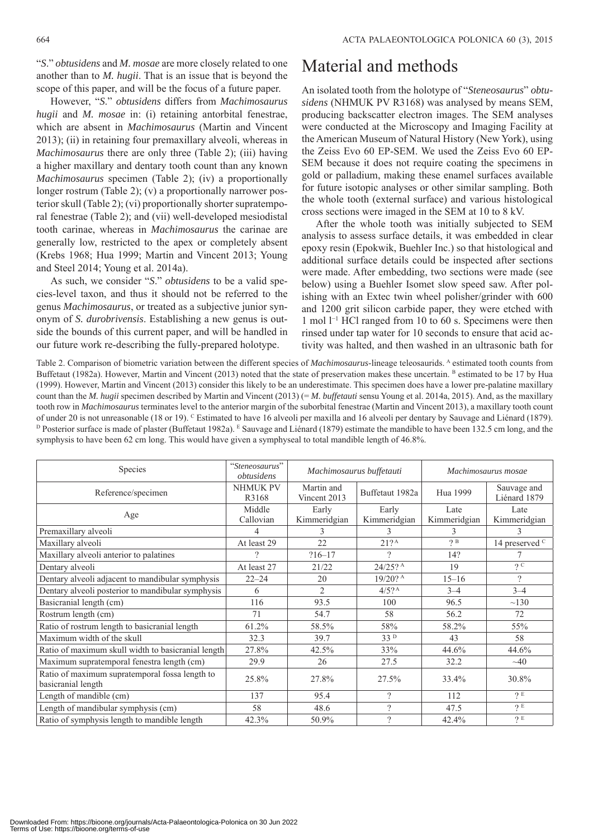"*S*." *obtusidens* and *M. mosae* are more closely related to one another than to *M. hugii*. That is an issue that is beyond the scope of this paper, and will be the focus of a future paper.

However, "*S*." *obtusidens* differs from *Machimosaurus hugii* and *M. mosae* in: (i) retaining antorbital fenestrae, which are absent in *Machimosaurus* (Martin and Vincent 2013); (ii) in retaining four premaxillary alveoli, whereas in *Machimosaurus* there are only three (Table 2); (iii) having a higher maxillary and dentary tooth count than any known *Machimosaurus* specimen (Table 2); (iv) a proportionally longer rostrum (Table 2); (v) a proportionally narrower posterior skull (Table 2); (vi) proportionally shorter supratemporal fenestrae (Table 2); and (vii) well-developed mesiodistal tooth carinae, whereas in *Machimosaurus* the carinae are generally low, restricted to the apex or completely absent (Krebs 1968; Hua 1999; Martin and Vincent 2013; Young and Steel 2014; Young et al. 2014a).

As such, we consider "*S*." *obtusidens* to be a valid species-level taxon, and thus it should not be referred to the genus *Machimosaurus*, or treated as a subjective junior synonym of *S. durobrivensis*. Establishing a new genus is outside the bounds of this current paper, and will be handled in our future work re-describing the fully-prepared holotype.

# Material and methods

An isolated tooth from the holotype of "*Steneosaurus*" *obtusidens* (NHMUK PV R3168) was analysed by means SEM, producing backscatter electron images. The SEM analyses were conducted at the Microscopy and Imaging Facility at the American Museum of Natural History (New York), using the Zeiss Evo 60 EP-SEM. We used the Zeiss Evo 60 EP-SEM because it does not require coating the specimens in gold or palladium, making these enamel surfaces available for future isotopic analyses or other similar sampling. Both the whole tooth (external surface) and various histological cross sections were imaged in the SEM at 10 to 8 kV.

After the whole tooth was initially subjected to SEM analysis to assess surface details, it was embedded in clear epoxy resin (Epokwik, Buehler Inc.) so that histological and additional surface details could be inspected after sections were made. After embedding, two sections were made (see below) using a Buehler Isomet slow speed saw. After polishing with an Extec twin wheel polisher/grinder with 600 and 1200 grit silicon carbide paper, they were etched with 1 mol l<sup>−</sup><sup>1</sup> HCl ranged from 10 to 60 s. Specimens were then rinsed under tap water for 10 seconds to ensure that acid activity was halted, and then washed in an ultrasonic bath for

Table 2. Comparison of biometric variation between the different species of *Machimosaurus*-lineage teleosaurids. A estimated tooth counts from Buffetaut (1982a). However, Martin and Vincent (2013) noted that the state of preservation makes these uncertain. B estimated to be 17 by Hua (1999). However, Martin and Vincent (2013) consider this likely to be an underestimate. This specimen does have a lower pre-palatine maxillary count than the *M. hugii* specimen described by Martin and Vincent (2013) (= *M. buffetauti* sensu Young et al. 2014a, 2015). And, as the maxillary tooth row in *Machimosaurus* terminates level to the anterior margin of the suborbital fenestrae (Martin and Vincent 2013), a maxillary tooth count of under 20 is not unreasonable (18 or 19). <sup>C</sup> Estimated to have 16 alveoli per maxilla and 16 alveoli per dentary by Sauvage and Liénard (1879).<br><sup>D</sup> Posterior surface is made of plaster (Buffetaut 1982a). <sup>E</sup> Sauvage and symphysis to have been 62 cm long. This would have given a symphyseal to total mandible length of 46.8%.

| Species                                                              | "Steneosaurus"<br>obtusidens | Machimosaurus buffetauti   |                       | Machimosaurus mosae  |                             |
|----------------------------------------------------------------------|------------------------------|----------------------------|-----------------------|----------------------|-----------------------------|
| Reference/specimen                                                   | <b>NHMUK PV</b><br>R3168     | Martin and<br>Vincent 2013 | Buffetaut 1982a       | Hua 1999             | Sauvage and<br>Liénard 1879 |
| Age                                                                  | Middle<br>Callovian          | Early<br>Kimmeridgian      | Early<br>Kimmeridgian | Late<br>Kimmeridgian | Late<br>Kimmeridgian        |
| Premaxillary alveoli                                                 | 4                            | 3                          | 3                     | 3                    | 3                           |
| Maxillary alveoli                                                    | At least 29                  | 22                         | $21?^A$               | 2B                   | 14 preserved <sup>C</sup>   |
| Maxillary alveoli anterior to palatines                              | 2                            | $?16 - 17$                 | $\mathcal{P}$         | 14?                  |                             |
| Dentary alveoli                                                      | At least 27                  | 21/22                      | $24/25?$ A            | 19                   | 2C                          |
| Dentary alveoli adjacent to mandibular symphysis                     | $22 - 24$                    | 20                         | $19/20?$ <sup>A</sup> | $15 - 16$            | $\gamma$                    |
| Dentary alveoli posterior to mandibular symphysis                    | 6                            | $\overline{2}$             | $4/5?^{\text{A}}$     | $3 - 4$              | $3 - 4$                     |
| Basicranial length (cm)                                              | 116                          | 93.5                       | 100                   | 96.5                 | $\sim$ 130                  |
| Rostrum length (cm)                                                  | 71                           | 54.7                       | 58                    | 56.2                 | 72                          |
| Ratio of rostrum length to basicranial length                        | 61.2%                        | 58.5%                      | 58%                   | 58.2%                | 55%                         |
| Maximum width of the skull                                           | 32.3                         | 39.7                       | 33 <sup>D</sup>       | 43                   | 58                          |
| Ratio of maximum skull width to basicranial length                   | 27.8%                        | 42.5%                      | 33%                   | 44.6%                | 44.6%                       |
| Maximum supratemporal fenestra length (cm)                           | 29.9                         | 26                         | 27.5                  | 32.2                 | $\sim 40$                   |
| Ratio of maximum supratemporal fossa length to<br>basicranial length | 25.8%                        | 27.8%                      | 27.5%                 | 33.4%                | 30.8%                       |
| Length of mandible (cm)                                              | 137                          | 95.4                       | ?                     | 112                  | 2E                          |
| Length of mandibular symphysis (cm)                                  | 58                           | 48.6                       | $\gamma$              | 47.5                 | 2 E                         |
| Ratio of symphysis length to mandible length                         | 42.3%                        | 50.9%                      | $\gamma$              | 42.4%                | $\gamma$ E                  |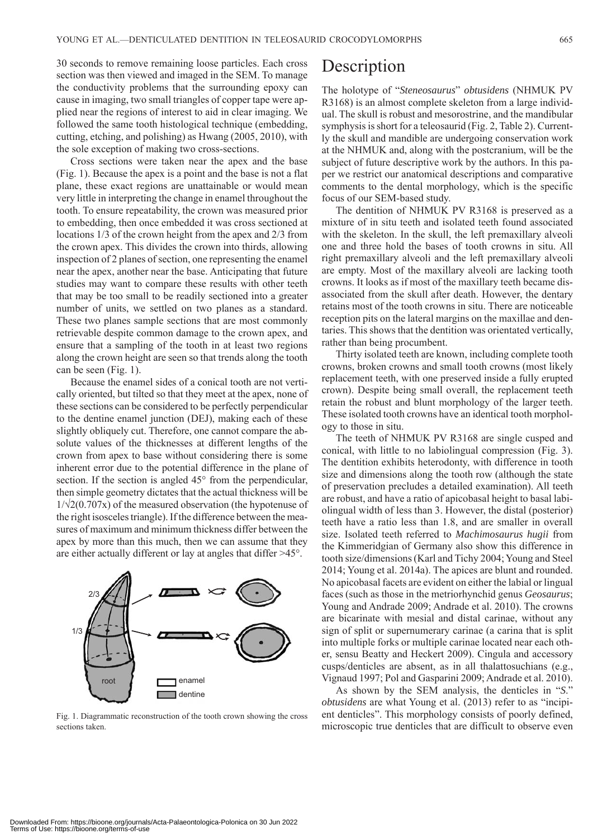30 seconds to remove remaining loose particles. Each cross section was then viewed and imaged in the SEM. To manage the conductivity problems that the surrounding epoxy can cause in imaging, two small triangles of copper tape were applied near the regions of interest to aid in clear imaging. We followed the same tooth histological technique (embedding, cutting, etching, and polishing) as Hwang (2005, 2010), with the sole exception of making two cross-sections.

Cross sections were taken near the apex and the base (Fig. 1). Because the apex is a point and the base is not a flat plane, these exact regions are unattainable or would mean very little in interpreting the change in enamel throughout the tooth. To ensure repeatability, the crown was measured prior to embedding, then once embedded it was cross sectioned at locations 1/3 of the crown height from the apex and 2/3 from the crown apex. This divides the crown into thirds, allowing inspection of 2 planes of section, one representing the enamel near the apex, another near the base. Anticipating that future studies may want to compare these results with other teeth that may be too small to be readily sectioned into a greater number of units, we settled on two planes as a standard. These two planes sample sections that are most commonly retrievable despite common damage to the crown apex, and ensure that a sampling of the tooth in at least two regions along the crown height are seen so that trends along the tooth can be seen (Fig. 1).

Because the enamel sides of a conical tooth are not vertically oriented, but tilted so that they meet at the apex, none of these sections can be considered to be perfectly perpendicular to the dentine enamel junction (DEJ), making each of these slightly obliquely cut. Therefore, one cannot compare the absolute values of the thicknesses at different lengths of the crown from apex to base without considering there is some inherent error due to the potential difference in the plane of section. If the section is angled 45<sup>°</sup> from the perpendicular, then simple geometry dictates that the actual thickness will be  $1/\sqrt{2}(0.707x)$  of the measured observation (the hypotenuse of the right isosceles triangle). If the difference between the measures of maximum and minimum thickness differ between the apex by more than this much, then we can assume that they are either actually different or lay at angles that differ >45°.



Fig. 1. Diagrammatic reconstruction of the tooth crown showing the cross sections taken

### **Description**

The holotype of "*Steneosaurus*" *obtusidens* (NHMUK PV R3168) is an almost complete skeleton from a large individual. The skull is robust and mesorostrine, and the mandibular symphysis is short for a teleosaurid (Fig. 2, Table 2). Currently the skull and mandible are undergoing conservation work at the NHMUK and, along with the postcranium, will be the subject of future descriptive work by the authors. In this paper we restrict our anatomical descriptions and comparative comments to the dental morphology, which is the specific focus of our SEM-based study.

The dentition of NHMUK PV R3168 is preserved as a mixture of in situ teeth and isolated teeth found associated with the skeleton. In the skull, the left premaxillary alveoli one and three hold the bases of tooth crowns in situ. All right premaxillary alveoli and the left premaxillary alveoli are empty. Most of the maxillary alveoli are lacking tooth crowns. It looks as if most of the maxillary teeth became disassociated from the skull after death. However, the dentary retains most of the tooth crowns in situ. There are noticeable reception pits on the lateral margins on the maxillae and dentaries. This shows that the dentition was orientated vertically, rather than being procumbent.

Thirty isolated teeth are known, including complete tooth crowns, broken crowns and small tooth crowns (most likely replacement teeth, with one preserved inside a fully erupted crown). Despite being small overall, the replacement teeth retain the robust and blunt morphology of the larger teeth. These isolated tooth crowns have an identical tooth morphology to those in situ.

The teeth of NHMUK PV R3168 are single cusped and conical, with little to no labiolingual compression (Fig. 3). The dentition exhibits heterodonty, with difference in tooth size and dimensions along the tooth row (although the state of preservation precludes a detailed examination). All teeth are robust, and have a ratio of apicobasal height to basal labiolingual width of less than 3. However, the distal (posterior) teeth have a ratio less than 1.8, and are smaller in overall size. Isolated teeth referred to *Machimosaurus hugii* from the Kimmeridgian of Germany also show this difference in tooth size/dimensions (Karl and Tichy 2004; Young and Steel 2014; Young et al. 2014a). The apices are blunt and rounded. No apicobasal facets are evident on either the labial or lingual faces (such as those in the metriorhynchid genus *Geosaurus*; Young and Andrade 2009; Andrade et al. 2010). The crowns are bicarinate with mesial and distal carinae, without any sign of split or supernumerary carinae (a carina that is split into multiple forks or multiple carinae located near each other, sensu Beatty and Heckert 2009). Cingula and accessory cusps/denticles are absent, as in all thalattosuchians (e.g., Vignaud 1997; Pol and Gasparini 2009; Andrade et al. 2010).

As shown by the SEM analysis, the denticles in "*S*." *obtusidens* are what Young et al. (2013) refer to as "incipient denticles". This morphology consists of poorly defined, microscopic true denticles that are difficult to observe even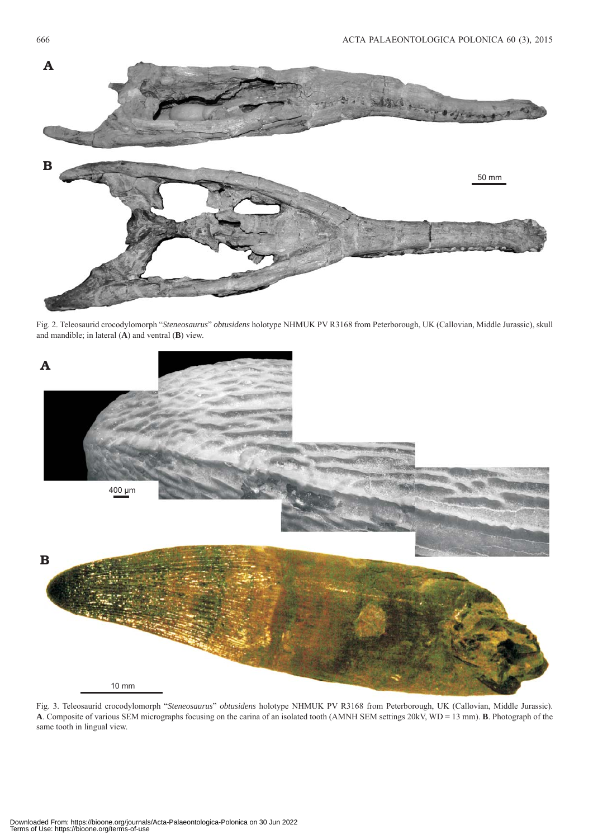

Fig. 2. Teleosaurid crocodylomorph "*Steneosaurus*" *obtusidens* holotype NHMUK PV R3168 from Peterborough, UK (Callovian, Middle Jurassic), skull and mandible; in lateral (**A**) and ventral (**B**) view.



Fig. 3. Teleosaurid crocodylomorph "*Steneosaurus*" *obtusidens* holotype NHMUK PV R3168 from Peterborough, UK (Callovian, Middle Jurassic). **A**. Composite of various SEM micrographs focusing on the carina of an isolated tooth (AMNH SEM settings 20kV, WD = 13 mm). **B**. Photograph of the same tooth in lingual view.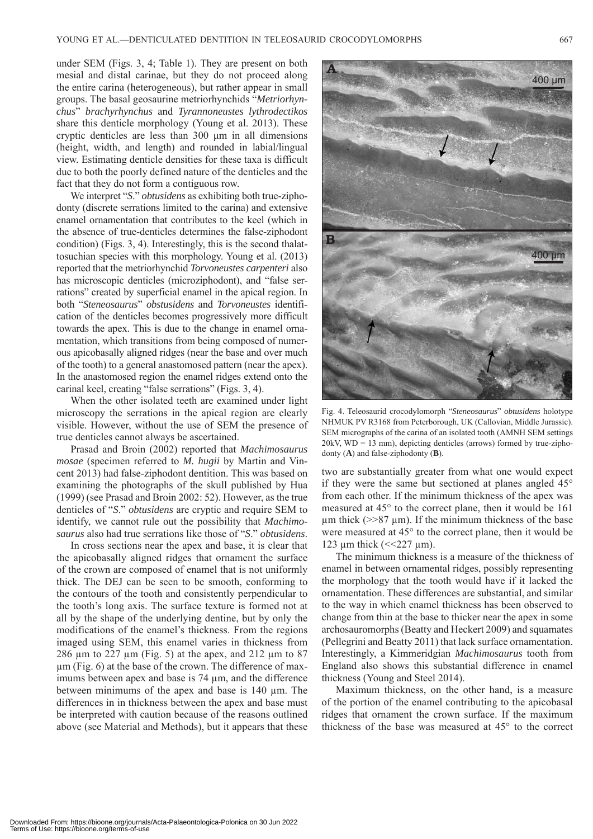under SEM (Figs. 3, 4; Table 1). They are present on both mesial and distal carinae, but they do not proceed along the entire carina (heterogeneous), but rather appear in small groups. The basal geosaurine metriorhynchids "*Metriorhynchus*" *brachyrhynchus* and *Tyrannoneustes lythrodectikos* share this denticle morphology (Young et al. 2013). These cryptic denticles are less than 300 μm in all dimensions (height, width, and length) and rounded in labial/lingual view. Estimating denticle densities for these taxa is difficult due to both the poorly defined nature of the denticles and the fact that they do not form a contiguous row.

We interpret "*S*." *obtusidens* as exhibiting both true-ziphodonty (discrete serrations limited to the carina) and extensive enamel ornamentation that contributes to the keel (which in the absence of true-denticles determines the false-ziphodont condition) (Figs. 3, 4). Interestingly, this is the second thalattosuchian species with this morphology. Young et al. (2013) reported that the metriorhynchid *Torvoneustes carpenteri* also has microscopic denticles (microziphodont), and "false serrations" created by superficial enamel in the apical region. In both "*Steneosaurus*" *obstusidens* and *Torvoneustes* identification of the denticles becomes progressively more difficult towards the apex. This is due to the change in enamel ornamentation, which transitions from being composed of numerous apicobasally aligned ridges (near the base and over much of the tooth) to a general anastomosed pattern (near the apex). In the anastomosed region the enamel ridges extend onto the carinal keel, creating "false serrations" (Figs. 3, 4).

When the other isolated teeth are examined under light microscopy the serrations in the apical region are clearly visible. However, without the use of SEM the presence of true denticles cannot always be ascertained.

Prasad and Broin (2002) reported that *Machimosaurus mosae* (specimen referred to *M. hugii* by Martin and Vincent 2013) had false-ziphodont dentition. This was based on examining the photographs of the skull published by Hua (1999) (see Prasad and Broin 2002: 52). However, as the true denticles of "*S*." *obtusidens* are cryptic and require SEM to identify, we cannot rule out the possibility that *Machimosaurus* also had true serrations like those of "*S*." *obtusidens*.

In cross sections near the apex and base, it is clear that the apicobasally aligned ridges that ornament the surface of the crown are composed of enamel that is not uniformly thick. The DEJ can be seen to be smooth, conforming to the contours of the tooth and consistently perpendicular to the tooth's long axis. The surface texture is formed not at all by the shape of the underlying dentine, but by only the modifications of the enamel's thickness. From the regions imaged using SEM, this enamel varies in thickness from 286 μm to 227 μm (Fig. 5) at the apex, and 212 μm to 87 μm (Fig. 6) at the base of the crown. The difference of maximums between apex and base is 74 μm, and the difference between minimums of the apex and base is 140 μm. The differences in in thickness between the apex and base must be interpreted with caution because of the reasons outlined above (see Material and Methods), but it appears that these



Fig. 4. Teleosaurid crocodylomorph "*Steneosaurus*" *obtusidens* holotype NHMUK PV R3168 from Peterborough, UK (Callovian, Middle Jurassic). SEM micrographs of the carina of an isolated tooth (AMNH SEM settings 20kV, WD = 13 mm), depicting denticles (arrows) formed by true-ziphodonty (**A**) and false-ziphodonty (**B**).

two are substantially greater from what one would expect if they were the same but sectioned at planes angled 45° from each other. If the minimum thickness of the apex was measured at 45° to the correct plane, then it would be 161 μm thick ( $>>87$  μm). If the minimum thickness of the base were measured at 45° to the correct plane, then it would be 123 μm thick ( $\leq$  227 μm).

The minimum thickness is a measure of the thickness of enamel in between ornamental ridges, possibly representing the morphology that the tooth would have if it lacked the ornamentation. These differences are substantial, and similar to the way in which enamel thickness has been observed to change from thin at the base to thicker near the apex in some archosauromorphs (Beatty and Heckert 2009) and squamates (Pellegrini and Beatty 2011) that lack surface ornamentation. Interestingly, a Kimmeridgian *Machimosaurus* tooth from England also shows this substantial difference in enamel thickness (Young and Steel 2014).

Maximum thickness, on the other hand, is a measure of the portion of the enamel contributing to the apicobasal ridges that ornament the crown surface. If the maximum thickness of the base was measured at 45° to the correct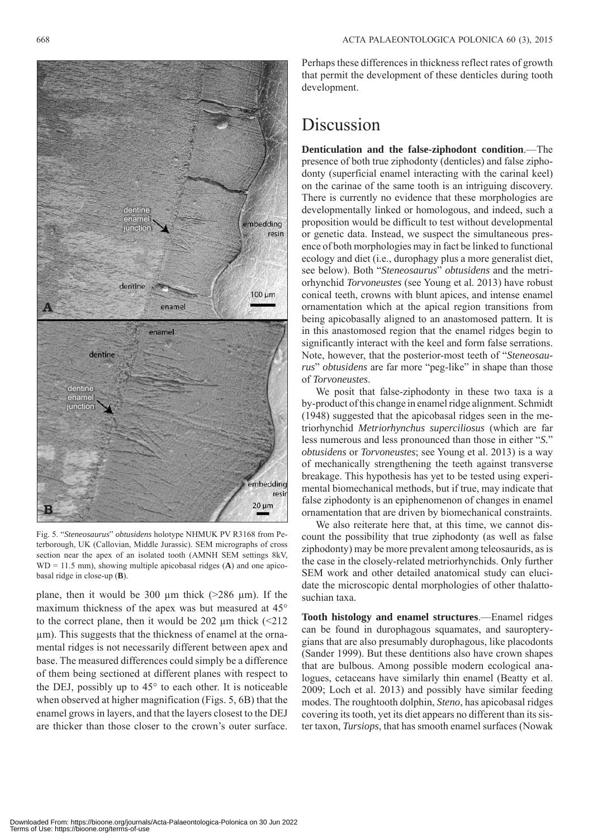

Fig. 5. "*Steneosaurus*" *obtusidens* holotype NHMUK PV R3168 from Peterborough, UK (Callovian, Middle Jurassic). SEM micrographs of cross section near the apex of an isolated tooth (AMNH SEM settings 8kV, WD = 11.5 mm), showing multiple apicobasal ridges (**A**) and one apicobasal ridge in close-up (**B**).

plane, then it would be 300 μm thick  $(>286 \text{ µm})$ . If the maximum thickness of the apex was but measured at 45° to the correct plane, then it would be 202  $\mu$ m thick (<212) μm). This suggests that the thickness of enamel at the ornamental ridges is not necessarily different between apex and base. The measured differences could simply be a difference of them being sectioned at different planes with respect to the DEJ, possibly up to 45° to each other. It is noticeable when observed at higher magnification (Figs. 5, 6B) that the enamel grows in layers, and that the layers closest to the DEJ are thicker than those closer to the crown's outer surface.

Perhaps these differences in thickness reflect rates of growth that permit the development of these denticles during tooth development.

# Discussion

**Denticulation and the false-ziphodont condition**.—The presence of both true ziphodonty (denticles) and false ziphodonty (superficial enamel interacting with the carinal keel) on the carinae of the same tooth is an intriguing discovery. There is currently no evidence that these morphologies are developmentally linked or homologous, and indeed, such a proposition would be difficult to test without developmental or genetic data. Instead, we suspect the simultaneous presence of both morphologies may in fact be linked to functional ecology and diet (i.e., durophagy plus a more generalist diet, see below). Both "*Steneosaurus*" *obtusidens* and the metriorhynchid *Torvoneustes* (see Young et al. 2013) have robust conical teeth, crowns with blunt apices, and intense enamel ornamentation which at the apical region transitions from being apicobasally aligned to an anastomosed pattern. It is in this anastomosed region that the enamel ridges begin to significantly interact with the keel and form false serrations. Note, however, that the posterior-most teeth of "*Steneosaurus*" *obtusidens* are far more "peg-like" in shape than those of *Torvoneustes*.

We posit that false-ziphodonty in these two taxa is a by-product of this change in enamel ridge alignment. Schmidt (1948) suggested that the apicobasal ridges seen in the metriorhynchid *Metriorhynchus superciliosus* (which are far less numerous and less pronounced than those in either "*S.*" *obtusidens* or *Torvoneustes*; see Young et al. 2013) is a way of mechanically strengthening the teeth against transverse breakage. This hypothesis has yet to be tested using experimental biomechanical methods, but if true, may indicate that false ziphodonty is an epiphenomenon of changes in enamel ornamentation that are driven by biomechanical constraints.

We also reiterate here that, at this time, we cannot discount the possibility that true ziphodonty (as well as false ziphodonty) may be more prevalent among teleosaurids, as is the case in the closely-related metriorhynchids. Only further SEM work and other detailed anatomical study can elucidate the microscopic dental morphologies of other thalattosuchian taxa.

**Tooth histology and enamel structures**.—Enamel ridges can be found in durophagous squamates, and sauropterygians that are also presumably durophagous, like placodonts (Sander 1999). But these dentitions also have crown shapes that are bulbous. Among possible modern ecological analogues, cetaceans have similarly thin enamel (Beatty et al. 2009; Loch et al. 2013) and possibly have similar feeding modes. The roughtooth dolphin, *Steno*, has apicobasal ridges covering its tooth, yet its diet appears no different than its sister taxon, *Tursiops*, that has smooth enamel surfaces (Nowak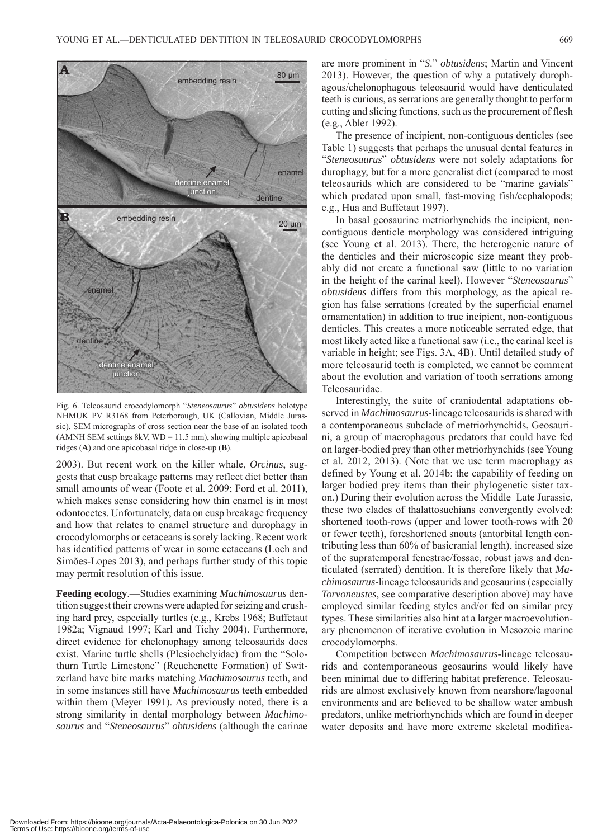

Fig. 6. Teleosaurid crocodylomorph "*Steneosaurus*" *obtusidens* holotype NHMUK PV R3168 from Peterborough, UK (Callovian, Middle Jurassic). SEM micrographs of cross section near the base of an isolated tooth (AMNH SEM settings 8kV,  $WD = 11.5$  mm), showing multiple apicobasal ridges (**A**) and one apicobasal ridge in close-up (**B**).

2003). But recent work on the killer whale, *Orcinus*, suggests that cusp breakage patterns may reflect diet better than small amounts of wear (Foote et al. 2009; Ford et al. 2011), which makes sense considering how thin enamel is in most odontocetes. Unfortunately, data on cusp breakage frequency and how that relates to enamel structure and durophagy in crocodylomorphs or cetaceans is sorely lacking. Recent work has identified patterns of wear in some cetaceans (Loch and Simões-Lopes 2013), and perhaps further study of this topic may permit resolution of this issue.

**Feeding ecology**.—Studies examining *Machimosaurus* dentition suggest their crowns were adapted for seizing and crushing hard prey, especially turtles (e.g., Krebs 1968; Buffetaut 1982a; Vignaud 1997; Karl and Tichy 2004). Furthermore, direct evidence for chelonophagy among teleosaurids does exist. Marine turtle shells (Plesiochelyidae) from the "Solothurn Turtle Limestone" (Reuchenette Formation) of Switzerland have bite marks matching *Machimosaurus* teeth, and in some instances still have *Machimosaurus* teeth embedded within them (Meyer 1991). As previously noted, there is a strong similarity in dental morphology between *Machimosaurus* and "*Steneosaurus*" *obtusidens* (although the carinae are more prominent in "*S*." *obtusidens*; Martin and Vincent 2013). However, the question of why a putatively durophagous/chelonophagous teleosaurid would have denticulated teeth is curious, as serrations are generally thought to perform cutting and slicing functions, such as the procurement of flesh (e.g., Abler 1992).

The presence of incipient, non-contiguous denticles (see Table 1) suggests that perhaps the unusual dental features in "*Steneosaurus*" *obtusidens* were not solely adaptations for durophagy, but for a more generalist diet (compared to most teleosaurids which are considered to be "marine gavials" which predated upon small, fast-moving fish/cephalopods; e.g., Hua and Buffetaut 1997).

In basal geosaurine metriorhynchids the incipient, noncontiguous denticle morphology was considered intriguing (see Young et al. 2013). There, the heterogenic nature of the denticles and their microscopic size meant they probably did not create a functional saw (little to no variation in the height of the carinal keel). However "*Steneosaurus*" *obtusidens* differs from this morphology, as the apical region has false serrations (created by the superficial enamel ornamentation) in addition to true incipient, non-contiguous denticles. This creates a more noticeable serrated edge, that most likely acted like a functional saw (i.e., the carinal keel is variable in height; see Figs. 3A, 4B). Until detailed study of more teleosaurid teeth is completed, we cannot be comment about the evolution and variation of tooth serrations among Teleosauridae.

Interestingly, the suite of craniodental adaptations observed in *Machimosaurus*-lineage teleosaurids is shared with a contemporaneous subclade of metriorhynchids, Geosaurini, a group of macrophagous predators that could have fed on larger-bodied prey than other metriorhynchids (see Young et al. 2012, 2013). (Note that we use term macrophagy as defined by Young et al. 2014b: the capability of feeding on larger bodied prey items than their phylogenetic sister taxon.) During their evolution across the Middle–Late Jurassic, these two clades of thalattosuchians convergently evolved: shortened tooth-rows (upper and lower tooth-rows with 20 or fewer teeth), foreshortened snouts (antorbital length contributing less than 60% of basicranial length), increased size of the supratemporal fenestrae/fossae, robust jaws and denticulated (serrated) dentition. It is therefore likely that *Machimosaurus*-lineage teleosaurids and geosaurins (especially *Torvoneustes*, see comparative description above) may have employed similar feeding styles and/or fed on similar prey types. These similarities also hint at a larger macroevolutionary phenomenon of iterative evolution in Mesozoic marine crocodylomorphs.

Competition between *Machimosaurus*-lineage teleosaurids and contemporaneous geosaurins would likely have been minimal due to differing habitat preference. Teleosaurids are almost exclusively known from nearshore/lagoonal environments and are believed to be shallow water ambush predators, unlike metriorhynchids which are found in deeper water deposits and have more extreme skeletal modifica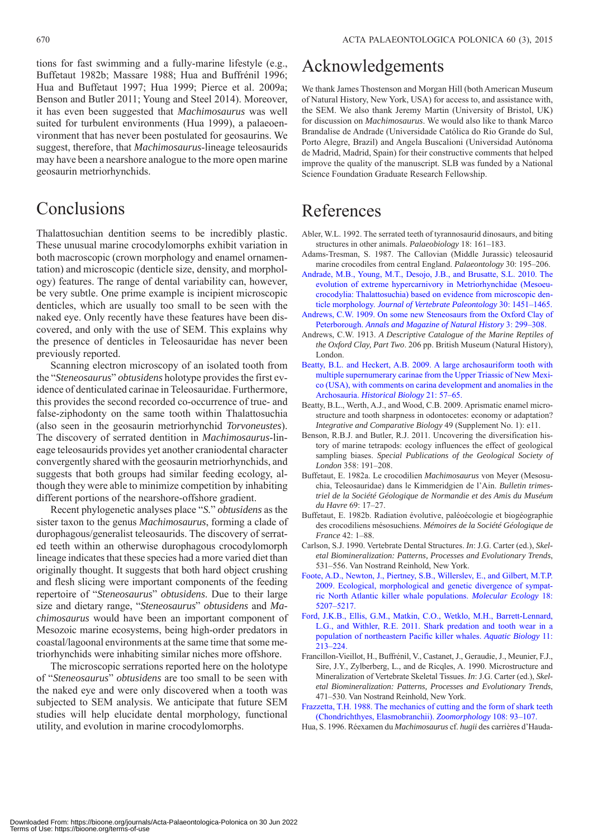tions for fast swimming and a fully-marine lifestyle (e.g., Buffetaut 1982b; Massare 1988; Hua and Buffrénil 1996; Hua and Buffetaut 1997; Hua 1999; Pierce et al. 2009a; Benson and Butler 2011; Young and Steel 2014). Moreover, it has even been suggested that *Machimosaurus* was well suited for turbulent environments (Hua 1999), a palaeoenvironment that has never been postulated for geosaurins. We suggest, therefore, that *Machimosaurus*-lineage teleosaurids may have been a nearshore analogue to the more open marine geosaurin metriorhynchids.

# Conclusions

Thalattosuchian dentition seems to be incredibly plastic. These unusual marine crocodylomorphs exhibit variation in both macroscopic (crown morphology and enamel ornamentation) and microscopic (denticle size, density, and morphology) features. The range of dental variability can, however, be very subtle. One prime example is incipient microscopic denticles, which are usually too small to be seen with the naked eye. Only recently have these features have been discovered, and only with the use of SEM. This explains why the presence of denticles in Teleosauridae has never been previously reported.

Scanning electron microscopy of an isolated tooth from the "*Steneosaurus*" *obtusidens* holotype provides the first evidence of denticulated carinae in Teleosauridae. Furthermore, this provides the second recorded co-occurrence of true- and false-ziphodonty on the same tooth within Thalattosuchia (also seen in the geosaurin metriorhynchid *Torvoneustes*). The discovery of serrated dentition in *Machimosaurus*-lineage teleosaurids provides yet another craniodental character convergently shared with the geosaurin metriorhynchids, and suggests that both groups had similar feeding ecology, although they were able to minimize competition by inhabiting different portions of the nearshore-offshore gradient.

Recent phylogenetic analyses place "*S.*" *obtusidens* as the sister taxon to the genus *Machimosaurus*, forming a clade of durophagous/generalist teleosaurids. The discovery of serrated teeth within an otherwise durophagous crocodylomorph lineage indicates that these species had a more varied diet than originally thought. It suggests that both hard object crushing and flesh slicing were important components of the feeding repertoire of "*Steneosaurus*" *obtusidens*. Due to their large size and dietary range, "*Steneosaurus*" *obtusidens* and *Machimosaurus* would have been an important component of Mesozoic marine ecosystems, being high-order predators in coastal/lagoonal environments at the same time that some metriorhynchids were inhabiting similar niches more offshore.

The microscopic serrations reported here on the holotype of "*Steneosaurus*" *obtusidens* are too small to be seen with the naked eye and were only discovered when a tooth was subjected to SEM analysis. We anticipate that future SEM studies will help elucidate dental morphology, functional utility, and evolution in marine crocodylomorphs.

# Acknowledgements

We thank James Thostenson and Morgan Hill (both American Museum of Natural History, New York, USA) for access to, and assistance with, the SEM. We also thank Jeremy Martin (University of Bristol, UK) for discussion on *Machimosaurus*. We would also like to thank Marco Brandalise de Andrade (Universidade Católica do Rio Grande do Sul, Porto Alegre, Brazil) and Angela Buscalioni (Universidad Autónoma de Madrid, Madrid, Spain) for their constructive comments that helped improve the quality of the manuscript. SLB was funded by a National Science Foundation Graduate Research Fellowship.

# References

- Abler, W.L. 1992. The serrated teeth of tyrannosaurid dinosaurs, and biting structures in other animals. *Palaeobiology* 18: 161–183.
- Adams-Tresman, S. 1987. The Callovian (Middle Jurassic) teleosaurid marine crocodiles from central England. *Palaeontology* 30: 195–206.
- [Andrade, M.B., Young, M.T., Desojo, J.B., and Brusatte, S.L. 2010. The](http://dx.doi.org/10.1080/02724634.2010.501442) evolution of extreme hypercarnivory in Metriorhynchidae (Mesoeucrocodylia: Thalattosuchia) based on evidence from microscopic denticle morphology. *Journal of Vertebrate Paleontology* 30: 1451–1465.
- [Andrews, C.W. 1909. On some new Steneosaurs from the Oxford Clay of](http://dx.doi.org/10.1080/00222930908692579) Peterborough. *Annals and Magazine of Natural History* 3: 299–308.
- Andrews, C.W. 1913. *A Descriptive Catalogue of the Marine Reptiles of the Oxford Clay, Part Two*. 206 pp. British Museum (Natural History), London.
- [Beatty, B.L. and Heckert, A.B. 2009. A large archosauriform tooth with](http://dx.doi.org/10.1080/08912960903154511) multiple supernumerary carinae from the Upper Triassic of New Mexico (USA), with comments on carina development and anomalies in the Archosauria. *Historical Biology* 21: 57–65.
- Beatty, B.L., Werth, A.J., and Wood, C.B. 2009. Aprismatic enamel microstructure and tooth sharpness in odontocetes: economy or adaptation? *Integrative and Comparative Biology* 49 (Supplement No. 1): e11.
- Benson, R.B.J. and Butler, R.J. 2011. Uncovering the diversification history of marine tetrapods: ecology influences the effect of geological sampling biases. *Special Publications of the Geological Society of London* 358: 191–208.
- Buffetaut, E. 1982a. Le crocodilien *Machimosaurus* von Meyer (Mesosuchia, Teleosauridae) dans le Kimmeridgien de l'Ain. *Bulletin trimestriel de la Société Géologique de Normandie et des Amis du Muséum du Havre* 69: 17–27.
- Buffetaut, E. 1982b. Radiation évolutive, paléoécologie et biogéographie des crocodiliens mésosuchiens. *Mémoires de la Société Géologique de France* 42: 1–88.
- Carlson, S.J. 1990. Vertebrate Dental Structures. *In*: J.G. Carter (ed.), *Skeletal Biomineralization: Patterns, Processes and Evolutionary Trends*, 531–556. Van Nostrand Reinhold, New York.
- [Foote, A.D., Newton, J., Piertney, S.B., Willerslev, E., and Gilbert, M.T.P.](http://dx.doi.org/10.1111/j.1365-294X.2009.04407.x) 2009. Ecological, morphological and genetic divergence of sympatric North Atlantic killer whale populations. *Molecular Ecology* 18: 5207–5217.
- [Ford, J.K.B., Ellis, G.M., Matkin, C.O., Wetklo, M.H., Barrett-Lennard,](http://dx.doi.org/10.3354/ab00307) L.G., and Withler, R.E. 2011. Shark predation and tooth wear in a population of northeastern Pacific killer whales. *Aquatic Biology* 11: 213–224.
- Francillon-Vieillot, H., Buffrénil, V., Castanet, J., Geraudie, J., Meunier, F.J., Sire, J.Y., Zylberberg, L., and de Ricqles, A. 1990. Microstructure and Mineralization of Vertebrate Skeletal Tissues. *In*: J.G. Carter (ed.), *Skeletal Biomineralization: Patterns, Processes and Evolutionary Trends*, 471–530. Van Nostrand Reinhold, New York.
- [Frazzetta, T.H. 1988. The mechanics of cutting and the form of shark teeth](http://dx.doi.org/10.1007/BF00539785) (Chondrichthyes, Elasmobranchii). *Zoomorphology* 108: 93–107.
- Hua, S. 1996. Réexamen du *Machimosaurus* cf. *hugii* des carrières d'Hauda-